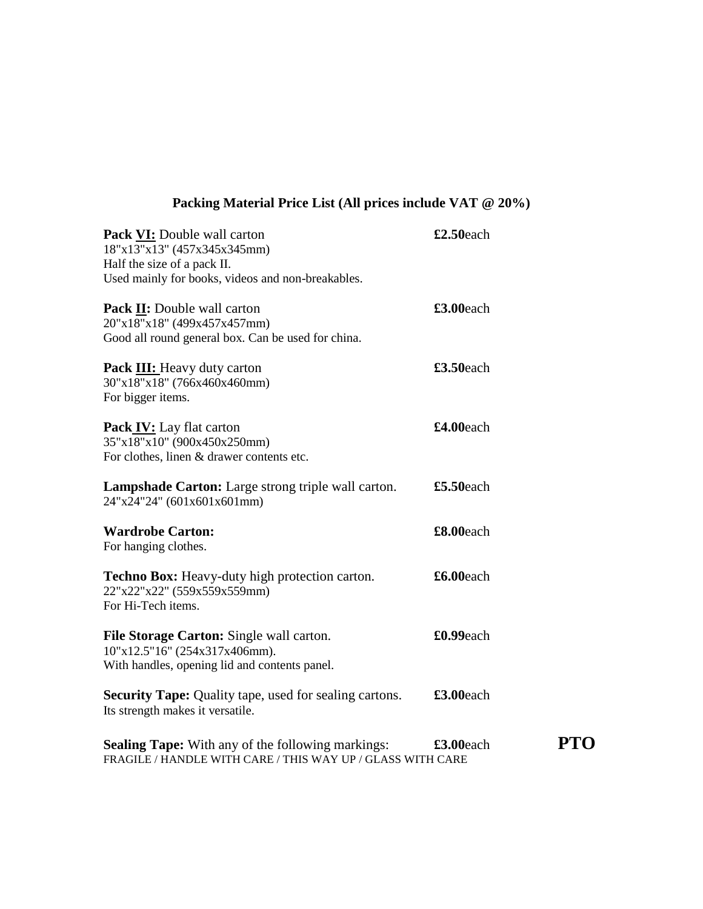## **Packing Material Price List (All prices include VAT @ 20%)**

| <b>Pack VI:</b> Double wall carton<br>18"x13"x13" (457x345x345mm)                                                          | £2.50each |
|----------------------------------------------------------------------------------------------------------------------------|-----------|
| Half the size of a pack II.                                                                                                |           |
| Used mainly for books, videos and non-breakables.                                                                          |           |
| <b>Pack II:</b> Double wall carton<br>20"x18"x18" (499x457x457mm)<br>Good all round general box. Can be used for china.    | £3.00each |
| <b>Pack III:</b> Heavy duty carton<br>30"x18"x18" (766x460x460mm)<br>For bigger items.                                     | £3.50each |
| <b>Pack IV:</b> Lay flat carton<br>35"x18"x10" (900x450x250mm)<br>For clothes, linen & drawer contents etc.                | £4.00each |
| Lampshade Carton: Large strong triple wall carton.<br>24"x24"24" (601x601x601mm)                                           | £5.50each |
| <b>Wardrobe Carton:</b><br>For hanging clothes.                                                                            | £8.00each |
| Techno Box: Heavy-duty high protection carton.<br>22"x22"x22" (559x559x559mm)<br>For Hi-Tech items.                        | £6.00each |
| File Storage Carton: Single wall carton.<br>10"x12.5"16" (254x317x406mm).<br>With handles, opening lid and contents panel. | £0.99each |
| <b>Security Tape:</b> Quality tape, used for sealing cartons.<br>Its strength makes it versatile.                          | £3.00each |
| <b>Sealing Tape:</b> With any of the following markings:<br>FRAGILE / HANDLE WITH CARE / THIS WAY UP / GLASS WITH CARE     | £3.00each |